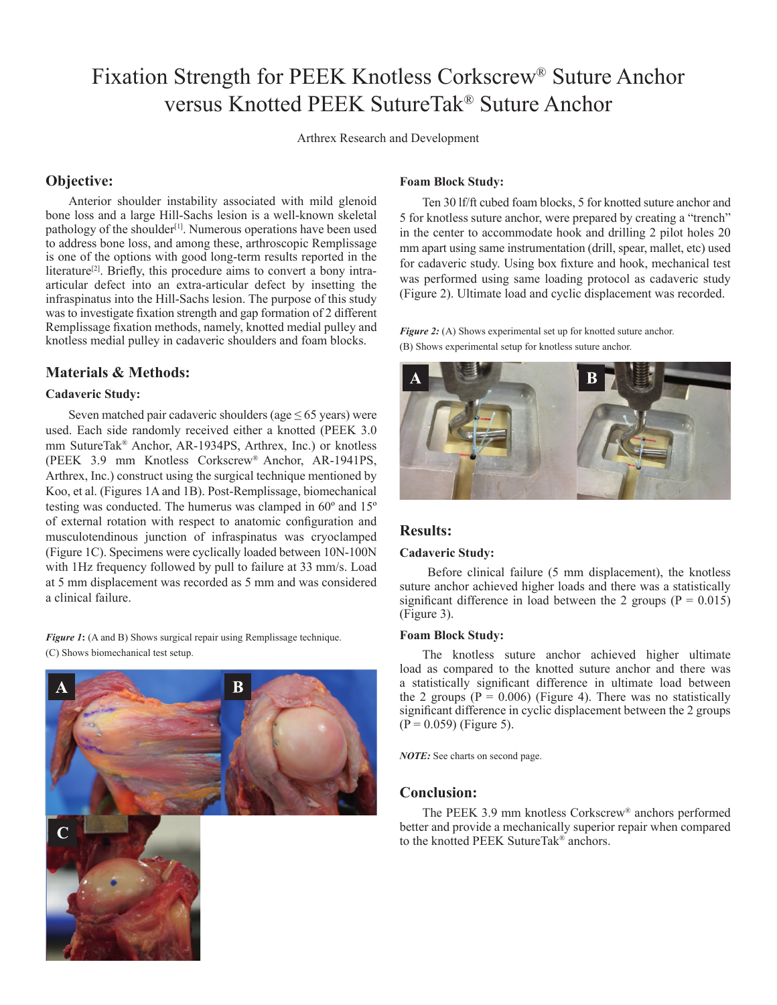# Fixation Strength for PEEK Knotless Corkscrew® Suture Anchor versus Knotted PEEK SutureTak® Suture Anchor

Arthrex Research and Development

## **Objective:**

Anterior shoulder instability associated with mild glenoid bone loss and a large Hill-Sachs lesion is a well-known skeletal pathology of the shoulder<sup>[1]</sup>. Numerous operations have been used to address bone loss, and among these, arthroscopic Remplissage is one of the options with good long-term results reported in the literature<sup>[2]</sup>. Briefly, this procedure aims to convert a bony intraarticular defect into an extra-articular defect by insetting the infraspinatus into the Hill-Sachs lesion. The purpose of this study was to investigate fixation strength and gap formation of 2 different Remplissage fixation methods, namely, knotted medial pulley and knotless medial pulley in cadaveric shoulders and foam blocks.

# **Materials & Methods:**

## **Cadaveric Study:**

Seven matched pair cadaveric shoulders (age  $\leq 65$  years) were used. Each side randomly received either a knotted (PEEK 3.0 mm SutureTak® Anchor, AR-1934PS, Arthrex, Inc.) or knotless (PEEK 3.9 mm Knotless Corkscrew® Anchor, AR-1941PS, Arthrex, Inc.) construct using the surgical technique mentioned by Koo, et al. (Figures 1A and 1B). Post-Remplissage, biomechanical testing was conducted. The humerus was clamped in 60º and 15º of external rotation with respect to anatomic configuration and musculotendinous junction of infraspinatus was cryoclamped (Figure 1C). Specimens were cyclically loaded between 10N-100N with 1Hz frequency followed by pull to failure at 33 mm/s. Load at 5 mm displacement was recorded as 5 mm and was considered a clinical failure.

*Figure 1*: (A and B) Shows surgical repair using Remplissage technique. (C) Shows biomechanical test setup.



## **Foam Block Study:**

Ten 30 lf/ft cubed foam blocks, 5 for knotted suture anchor and 5 for knotless suture anchor, were prepared by creating a "trench" in the center to accommodate hook and drilling 2 pilot holes 20 mm apart using same instrumentation (drill, spear, mallet, etc) used for cadaveric study. Using box fixture and hook, mechanical test was performed using same loading protocol as cadaveric study (Figure 2). Ultimate load and cyclic displacement was recorded.

*Figure 2:* (A) Shows experimental set up for knotted suture anchor. (B) Shows experimental setup for knotless suture anchor.



## **Results:**

#### **Cadaveric Study:**

 Before clinical failure (5 mm displacement), the knotless suture anchor achieved higher loads and there was a statistically significant difference in load between the 2 groups ( $P = 0.015$ ) (Figure 3).

#### **Foam Block Study:**

The knotless suture anchor achieved higher ultimate load as compared to the knotted suture anchor and there was a statistically significant difference in ultimate load between the 2 groups ( $P = 0.006$ ) (Figure 4). There was no statistically significant difference in cyclic displacement between the 2 groups  $(P = 0.059)$  (Figure 5).

*NOTE:* See charts on second page.

#### **Conclusion:**

The PEEK 3.9 mm knotless Corkscrew® anchors performed better and provide a mechanically superior repair when compared to the knotted PEEK SutureTak® anchors.